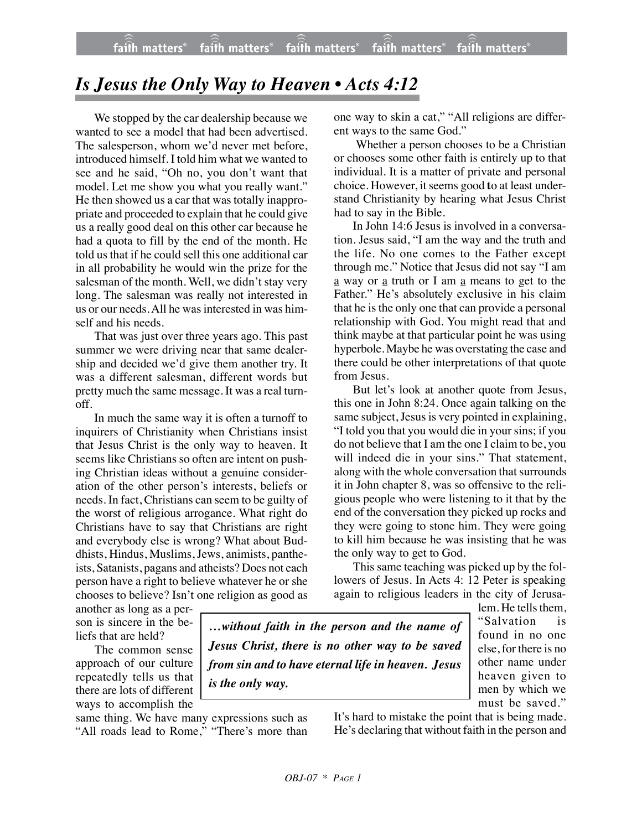## *Is Jesus the Only Way to Heaven • Acts 4:12*

We stopped by the car dealership because we wanted to see a model that had been advertised. The salesperson, whom we'd never met before, introduced himself. I told him what we wanted to see and he said, "Oh no, you don't want that model. Let me show you what you really want." He then showed us a car that was totally inappropriate and proceeded to explain that he could give us a really good deal on this other car because he had a quota to fill by the end of the month. He told us that if he could sell this one additional car in all probability he would win the prize for the salesman of the month. Well, we didn't stay very long. The salesman was really not interested in us or our needs. All he was interested in was himself and his needs.

That was just over three years ago. This past summer we were driving near that same dealership and decided we'd give them another try. It was a different salesman, different words but pretty much the same message. It was a real turnoff.

In much the same way it is often a turnoff to inquirers of Christianity when Christians insist that Jesus Christ is the only way to heaven. It seems like Christians so often are intent on pushing Christian ideas without a genuine consideration of the other person's interests, beliefs or needs. In fact, Christians can seem to be guilty of the worst of religious arrogance. What right do Christians have to say that Christians are right and everybody else is wrong? What about Buddhists, Hindus, Muslims, Jews, animists, pantheists, Satanists, pagans and atheists? Does not each person have a right to believe whatever he or she chooses to believe? Isn't one religion as good as one way to skin a cat," "All religions are different ways to the same God."

 Whether a person chooses to be a Christian or chooses some other faith is entirely up to that individual. It is a matter of private and personal choice. However, it seems good **t**o at least understand Christianity by hearing what Jesus Christ had to say in the Bible.

In John 14:6 Jesus is involved in a conversation. Jesus said, "I am the way and the truth and the life. No one comes to the Father except through me." Notice that Jesus did not say "I am a way or a truth or I am a means to get to the Father." He's absolutely exclusive in his claim that he is the only one that can provide a personal relationship with God. You might read that and think maybe at that particular point he was using hyperbole. Maybe he was overstating the case and there could be other interpretations of that quote from Jesus.

But let's look at another quote from Jesus, this one in John 8:24. Once again talking on the same subject, Jesus is very pointed in explaining, "I told you that you would die in your sins; if you do not believe that I am the one I claim to be, you will indeed die in your sins." That statement, along with the whole conversation that surrounds it in John chapter 8, was so offensive to the religious people who were listening to it that by the end of the conversation they picked up rocks and they were going to stone him. They were going to kill him because he was insisting that he was the only way to get to God.

This same teaching was picked up by the followers of Jesus. In Acts 4: 12 Peter is speaking again to religious leaders in the city of Jerusa-

another as long as a person is sincere in the beliefs that are held?

The common sense approach of our culture repeatedly tells us that there are lots of different ways to accomplish the

same thing. We have many expressions such as "All roads lead to Rome," "There's more than

*…without faith in the person and the name of Jesus Christ, there is no other way to be saved from sin and to have eternal life in heaven. Jesus is the only way.*

lem. He tells them, "Salvation is found in no one else, for there is no other name under heaven given to men by which we must be saved."

It's hard to mistake the point that is being made. He's declaring that without faith in the person and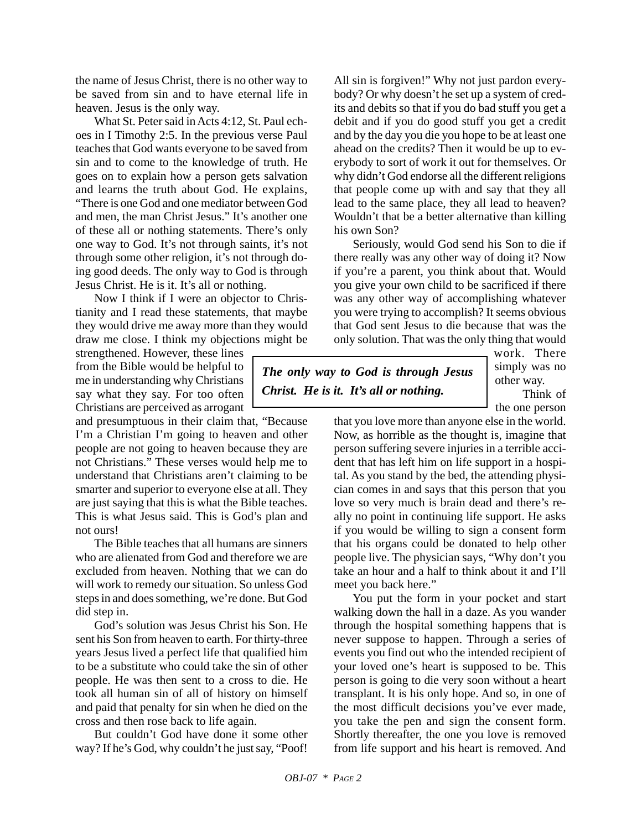the name of Jesus Christ, there is no other way to be saved from sin and to have eternal life in heaven. Jesus is the only way.

What St. Peter said in Acts 4:12, St. Paul echoes in I Timothy 2:5. In the previous verse Paul teaches that God wants everyone to be saved from sin and to come to the knowledge of truth. He goes on to explain how a person gets salvation and learns the truth about God. He explains, "There is one God and one mediator between God and men, the man Christ Jesus." It's another one of these all or nothing statements. There's only one way to God. It's not through saints, it's not through some other religion, it's not through doing good deeds. The only way to God is through Jesus Christ. He is it. It's all or nothing.

Now I think if I were an objector to Christianity and I read these statements, that maybe they would drive me away more than they would draw me close. I think my objections might be

strengthened. However, these lines from the Bible would be helpful to me in understanding why Christians say what they say. For too often Christians are perceived as arrogant

and presumptuous in their claim that, "Because I'm a Christian I'm going to heaven and other people are not going to heaven because they are not Christians." These verses would help me to understand that Christians aren't claiming to be smarter and superior to everyone else at all. They are just saying that this is what the Bible teaches. This is what Jesus said. This is God's plan and not ours!

The Bible teaches that all humans are sinners who are alienated from God and therefore we are excluded from heaven. Nothing that we can do will work to remedy our situation. So unless God steps in and does something, we're done. But God did step in.

God's solution was Jesus Christ his Son. He sent his Son from heaven to earth. For thirty-three years Jesus lived a perfect life that qualified him to be a substitute who could take the sin of other people. He was then sent to a cross to die. He took all human sin of all of history on himself and paid that penalty for sin when he died on the cross and then rose back to life again.

But couldn't God have done it some other way? If he's God, why couldn't he just say, "Poof! All sin is forgiven!" Why not just pardon everybody? Or why doesn't he set up a system of credits and debits so that if you do bad stuff you get a debit and if you do good stuff you get a credit and by the day you die you hope to be at least one ahead on the credits? Then it would be up to everybody to sort of work it out for themselves. Or why didn't God endorse all the different religions that people come up with and say that they all lead to the same place, they all lead to heaven? Wouldn't that be a better alternative than killing his own Son?

Seriously, would God send his Son to die if there really was any other way of doing it? Now if you're a parent, you think about that. Would you give your own child to be sacrificed if there was any other way of accomplishing whatever you were trying to accomplish? It seems obvious that God sent Jesus to die because that was the only solution. That was the only thing that would

*The only way to God is through Jesus Christ. He is it. It's all or nothing.*

work. There simply was no other way.

Think of the one person

that you love more than anyone else in the world. Now, as horrible as the thought is, imagine that person suffering severe injuries in a terrible accident that has left him on life support in a hospital. As you stand by the bed, the attending physician comes in and says that this person that you love so very much is brain dead and there's really no point in continuing life support. He asks if you would be willing to sign a consent form that his organs could be donated to help other people live. The physician says, "Why don't you take an hour and a half to think about it and I'll meet you back here."

You put the form in your pocket and start walking down the hall in a daze. As you wander through the hospital something happens that is never suppose to happen. Through a series of events you find out who the intended recipient of your loved one's heart is supposed to be. This person is going to die very soon without a heart transplant. It is his only hope. And so, in one of the most difficult decisions you've ever made, you take the pen and sign the consent form. Shortly thereafter, the one you love is removed from life support and his heart is removed. And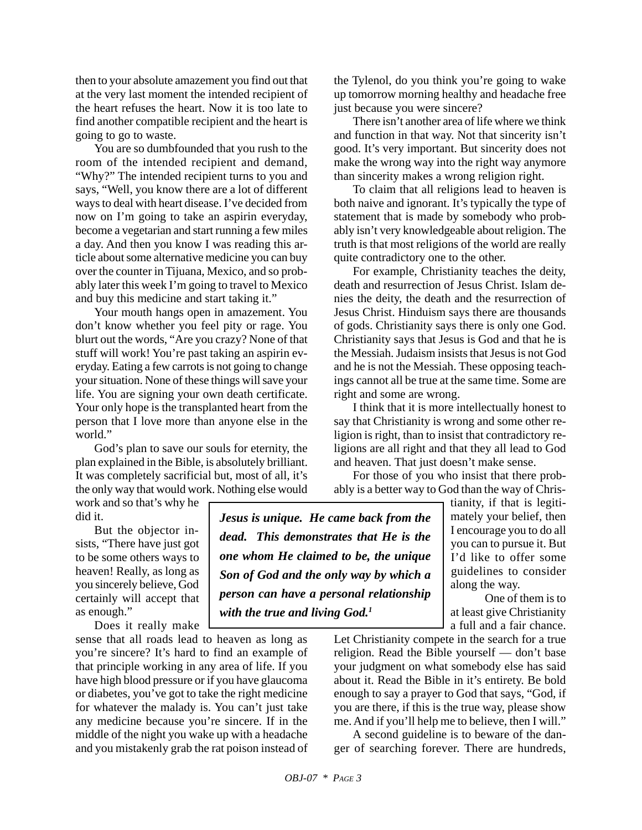then to your absolute amazement you find out that at the very last moment the intended recipient of the heart refuses the heart. Now it is too late to find another compatible recipient and the heart is going to go to waste.

You are so dumbfounded that you rush to the room of the intended recipient and demand, "Why?" The intended recipient turns to you and says, "Well, you know there are a lot of different ways to deal with heart disease. I've decided from now on I'm going to take an aspirin everyday, become a vegetarian and start running a few miles a day. And then you know I was reading this article about some alternative medicine you can buy over the counter in Tijuana, Mexico, and so probably later this week I'm going to travel to Mexico and buy this medicine and start taking it."

Your mouth hangs open in amazement. You don't know whether you feel pity or rage. You blurt out the words, "Are you crazy? None of that stuff will work! You're past taking an aspirin everyday. Eating a few carrots is not going to change your situation. None of these things will save your life. You are signing your own death certificate. Your only hope is the transplanted heart from the person that I love more than anyone else in the world"

God's plan to save our souls for eternity, the plan explained in the Bible, is absolutely brilliant. It was completely sacrificial but, most of all, it's the only way that would work. Nothing else would

work and so that's why he did it.

But the objector insists, "There have just got to be some others ways to heaven! Really, as long as you sincerely believe, God certainly will accept that as enough."

Does it really make

sense that all roads lead to heaven as long as you're sincere? It's hard to find an example of that principle working in any area of life. If you have high blood pressure or if you have glaucoma or diabetes, you've got to take the right medicine for whatever the malady is. You can't just take any medicine because you're sincere. If in the middle of the night you wake up with a headache and you mistakenly grab the rat poison instead of the Tylenol, do you think you're going to wake up tomorrow morning healthy and headache free just because you were sincere?

There isn't another area of life where we think and function in that way. Not that sincerity isn't good. It's very important. But sincerity does not make the wrong way into the right way anymore than sincerity makes a wrong religion right.

To claim that all religions lead to heaven is both naive and ignorant. It's typically the type of statement that is made by somebody who probably isn't very knowledgeable about religion. The truth is that most religions of the world are really quite contradictory one to the other.

For example, Christianity teaches the deity, death and resurrection of Jesus Christ. Islam denies the deity, the death and the resurrection of Jesus Christ. Hinduism says there are thousands of gods. Christianity says there is only one God. Christianity says that Jesus is God and that he is the Messiah. Judaism insists that Jesus is not God and he is not the Messiah. These opposing teachings cannot all be true at the same time. Some are right and some are wrong.

I think that it is more intellectually honest to say that Christianity is wrong and some other religion is right, than to insist that contradictory religions are all right and that they all lead to God and heaven. That just doesn't make sense.

For those of you who insist that there probably is a better way to God than the way of Chris-

> tianity, if that is legitimately your belief, then I encourage you to do all you can to pursue it. But I'd like to offer some guidelines to consider along the way.

> One of them is to at least give Christianity a full and a fair chance.

Let Christianity compete in the search for a true religion. Read the Bible yourself — don't base your judgment on what somebody else has said about it. Read the Bible in it's entirety. Be bold enough to say a prayer to God that says, "God, if you are there, if this is the true way, please show me. And if you'll help me to believe, then I will."

A second guideline is to beware of the danger of searching forever. There are hundreds,

*dead. This demonstrates that He is the one whom He claimed to be, the unique Son of God and the only way by which a person can have a personal relationship with the true and living God.1*

*Jesus is unique. He came back from the*